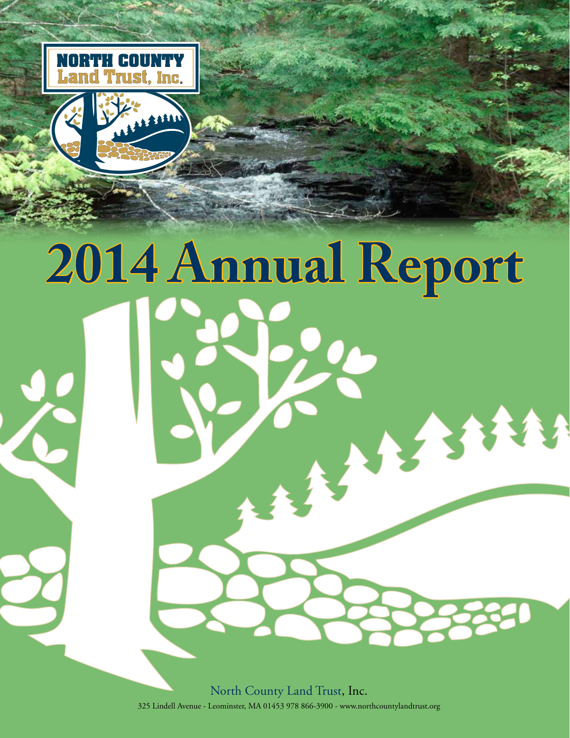

# **2014 Annual Report** 11550

North County Land Trust, Inc. 325 Lindell Avenue - Leominster, MA 01453 978 866-3900 - www.northcountylandtrust.org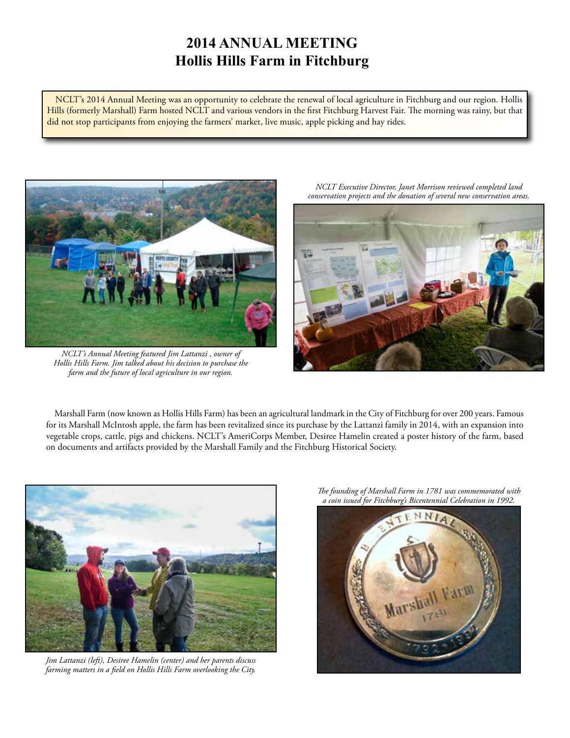# **2014 ANNUAL MEETING Hollis Hills Farm in Fitchburg**

NCLT's 2014 Annual Meeting was an opportunity to celebrate the renewal of local agriculture in Fitchburg and our region. Hollis Hills (formerly Marshall) Farm hosted NCLT and various vendors in the first Fitchburg Harvest Fair. The morning was rainy, but that did not stop participants from enjoying the farmers' market, live music, apple picking and hay rides.



*NCLT's Annual Meeting featured Jim Lattanzi , owner of Hollis Hills Farm. Jim talked about his decision to purchase the farm and the future of local agriculture in our region.* 

*NCLT Executive Director, Janet Morrison reviewed completed land conservation projects and the donation of several new conservation areas.*



Marshall Farm (now known as Hollis Hills Farm) has been an agricultural landmark in the City of Fitchburg for over 200 years. Famous for its Marshall McIntosh apple, the farm has been revitalized since its purchase by the Lattanzi family in 2014, with an expansion into vegetable crops, cattle, pigs and chickens. NCLT's AmeriCorps Member, Desiree Hamelin created a poster history of the farm, based on documents and artifacts provided by the Marshall Family and the Fitchburg Historical Society.



*Jim Lattanzi (left), Desiree Hamelin (center) and her parents discuss farming matters in a field on Hollis Hills Farm overlooking the City.*

*The founding of Marshall Farm in 1781 was commemorated with a coin issued for Fitchburg's Bicentennial Celebration in 1992.*

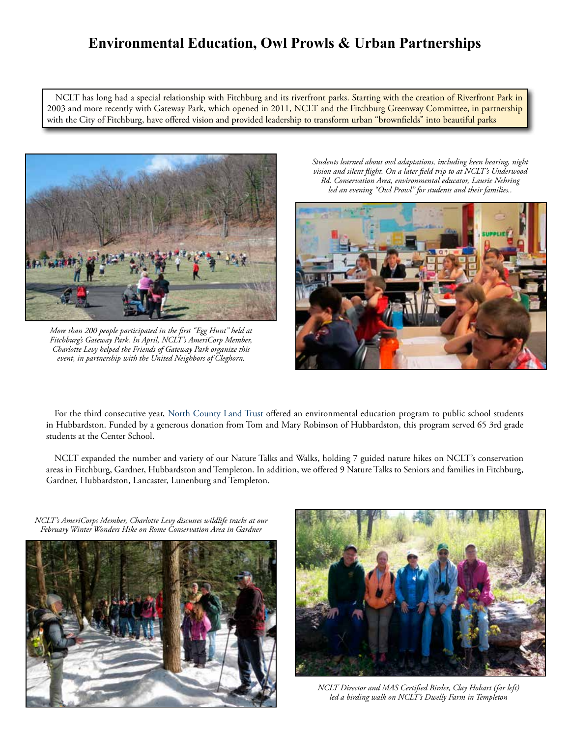## **Environmental Education, Owl Prowls & Urban Partnerships**

NCLT has long had a special relationship with Fitchburg and its riverfront parks. Starting with the creation of Riverfront Park in 2003 and more recently with Gateway Park, which opened in 2011, NCLT and the Fitchburg Greenway Committee, in partnership with the City of Fitchburg, have offered vision and provided leadership to transform urban "brownfields" into beautiful parks



*More than 200 people participated in the first "Egg Hunt" held at Fitchburg's Gateway Park. In April, NCLT's AmeriCorp Member, Charlotte Levy helped the Friends of Gateway Park organize this event, in partnership with the United Neighbors of Cleghorn.*

*Students learned about owl adaptations, including keen hearing, night vision and silent flight. On a later field trip to at NCLT's Underwood Rd. Conservation Area, environmental educator, Laurie Nehring led an evening "Owl Prowl" for students and their families..*



For the third consecutive year, North County Land Trust offered an environmental education program to public school students in Hubbardston. Funded by a generous donation from Tom and Mary Robinson of Hubbardston, this program served 65 3rd grade students at the Center School.

NCLT expanded the number and variety of our Nature Talks and Walks, holding 7 guided nature hikes on NCLT's conservation areas in Fitchburg, Gardner, Hubbardston and Templeton. In addition, we offered 9 Nature Talks to Seniors and families in Fitchburg, Gardner, Hubbardston, Lancaster, Lunenburg and Templeton.

*NCLT's AmeriCorps Member, Charlotte Levy discusses wildlife tracks at our February Winter Wonders Hike on Rome Conservation Area in Gardner*





*NCLT Director and MAS Certified Birder, Clay Hobart (far left) led a birding walk on NCLT's Dwelly Farm in Templeton*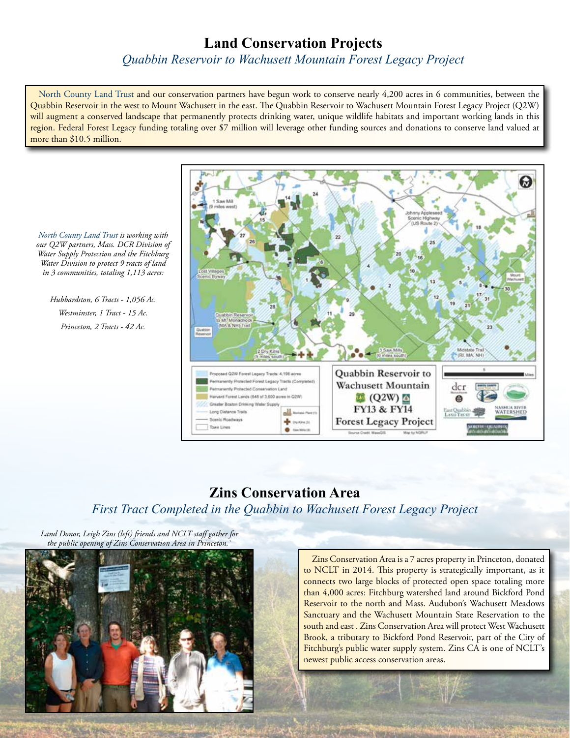## **Land Conservation Projects**

*Quabbin Reservoir to Wachusett Mountain Forest Legacy Project*

North County Land Trust and our conservation partners have begun work to conserve nearly 4,200 acres in 6 communities, between the Quabbin Reservoir in the west to Mount Wachusett in the east. The Quabbin Reservoir to Wachusett Mountain Forest Legacy Project (Q2W) will augment a conserved landscape that permanently protects drinking water, unique wildlife habitats and important working lands in this region. Federal Forest Legacy funding totaling over \$7 million will leverage other funding sources and donations to conserve land valued at more than \$10.5 million.



## **Zins Conservation Area** *First Tract Completed in the Quabbin to Wachusett Forest Legacy Project*

*Land Donor, Leigh Zins (left) friends and NCLT staff gather for the public opening of Zins Conservation Area in Princeton.`*



Zins Conservation Area is a 7 acres property in Princeton, donated to NCLT in 2014. This property is strategically important, as it connects two large blocks of protected open space totaling more than 4,000 acres: Fitchburg watershed land around Bickford Pond Reservoir to the north and Mass. Audubon's Wachusett Meadows Sanctuary and the Wachusett Mountain State Reservation to the south and east. Zins Conservation Area will protect West Wachusett Brook, a tributary to Bickford Pond Reservoir, part of the City of Fitchburg's public water supply system. Zins CA is one of NCLT's newest public access conservation areas.

*North County Land Trust is working with our Q2W partners, Mass. DCR Division of Water Supply Protection and the Fitchburg Water Division to protect 9 tracts of land in 3 communities, totaling 1,113 acres:* 

*Hubbardston, 6 Tracts - 1,056 Ac. Westminster, 1 Tract - 15 Ac. Princeton, 2 Tracts - 42 Ac.*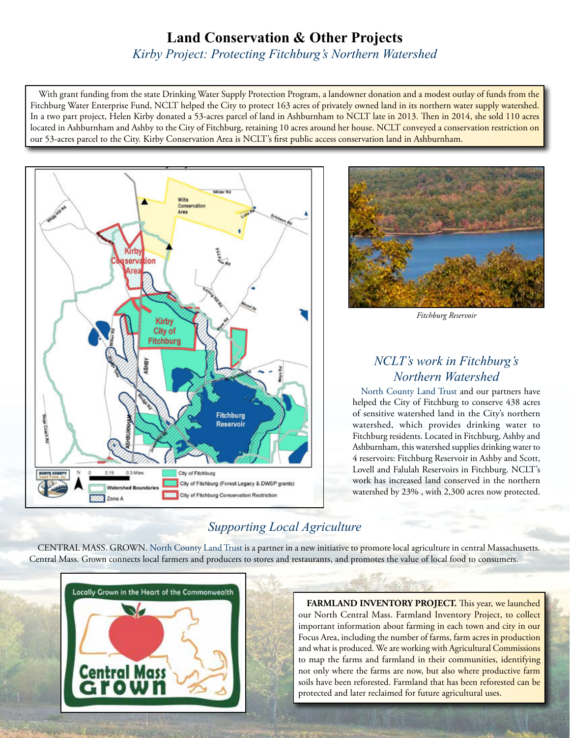# **Land Conservation & Other Projects**

*Kirby Project: Protecting Fitchburg's Northern Watershed*

With grant funding from the state Drinking Water Supply Protection Program, a landowner donation and a modest outlay of funds from the Fitchburg Water Enterprise Fund, NCLT helped the City to protect 163 acres of privately owned land in its northern water supply watershed. In a two part project, Helen Kirby donated a 53-acres parcel of land in Ashburnham to NCLT late in 2013. Then in 2014, she sold 110 acres located in Ashburnham and Ashby to the City of Fitchburg, retaining 10 acres around her house. NCLT conveyed a conservation restriction on our 53-acres parcel to the City. Kirby Conservation Area is NCLT's first public access conservation land in Ashburnham.





*Fitchburg Reservoir*

## *NCLT's work in Fitchburg's Northern Watershed*

North County Land Trust and our partners have helped the City of Fitchburg to conserve 438 acres of sensitive watershed land in the City's northern watershed, which provides drinking water to Fitchburg residents. Located in Fitchburg, Ashby and Ashburnham, this watershed supplies drinking water to 4 reservoirs: Fitchburg Reservoir in Ashby and Scott, Lovell and Falulah Reservoirs in Fitchburg. NCLT's work has increased land conserved in the northern watershed by 23% , with 2,300 acres now protected.

## *Supporting Local Agriculture*

CENTRAL MASS. GROWN. North County Land Trust is a partner in a new initiative to promote local agriculture in central Massachusetts. Central Mass. Grown connects local farmers and producers to stores and restaurants, and promotes the value of local food to consumers.



**FARMLAND INVENTORY PROJECT.** This year, we launched our North Central Mass. Farmland Inventory Project, to collect important information about farming in each town and city in our Focus Area, including the number of farms, farm acres in production and what is produced. We are working with Agricultural Commissions to map the farms and farmland in their communities, identifying not only where the farms are now, but also where productive farm soils have been reforested. Farmland that has been reforested can be protected and later reclaimed for future agricultural uses.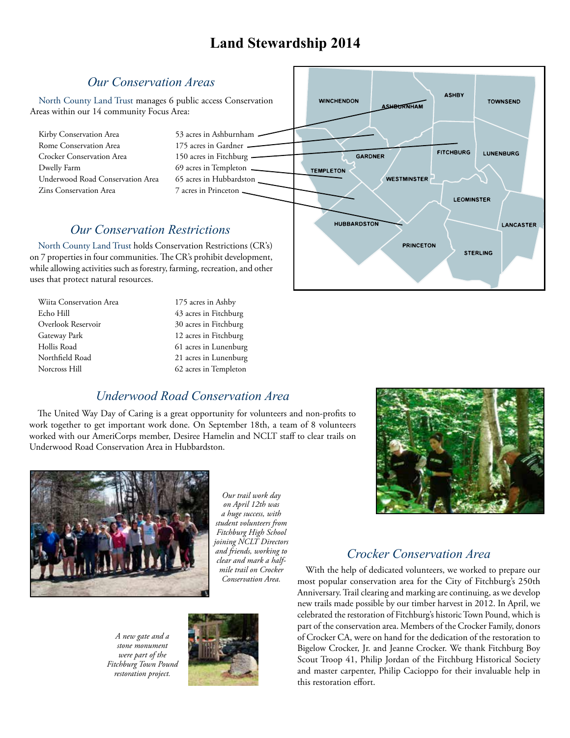# **Land Stewardship 2014**

#### *Our Conservation Areas* **ASHRY** North County Land Trust manages 6 public access Conservation **WINCHENDON TOWNSEND SHBURNHAM** Areas within our 14 community Focus Area: Kirby Conservation Area 53 acres in Ashburnham  $-$ Rome Conservation Area 175 acres in Gardner **FITCHBURG LUNENBURG** Crocker Conservation Area 150 acres in Fitchburg -GARDNER Dwelly Farm 69 acres in Templeton 1 **TEMPLETON** Underwood Road Conservation Area 65 acres in Hubbardston **WESTMINSTER** Zins Conservation Area 7 acres in Princeton **LEOMINSTER HUBBARDSTON LANCASTER** *Our Conservation Restrictions***PRINCETON** North County Land Trust holds Conservation Restrictions (CR's) **STERLING** on 7 properties in four communities. The CR's prohibit development, while allowing activities such as forestry, farming, recreation, and other uses that protect natural resources.

| Wiita Conservation Area | 175 acres in Ashby    |  |
|-------------------------|-----------------------|--|
| Echo Hill               | 43 acres in Fitchburg |  |
| Overlook Reservoir      | 30 acres in Fitchburg |  |
| Gateway Park            | 12 acres in Fitchburg |  |
| Hollis Road             | 61 acres in Lunenburg |  |
| Northfield Road         | 21 acres in Lunenburg |  |
| Norcross Hill           | 62 acres in Templeton |  |

## *Underwood Road Conservation Area*

The United Way Day of Caring is a great opportunity for volunteers and non-profits to work together to get important work done. On September 18th, a team of 8 volunteers worked with our AmeriCorps member, Desiree Hamelin and NCLT staff to clear trails on Underwood Road Conservation Area in Hubbardston.



*Our trail work day on April 12th was a huge success, with student volunteers from Fitchburg High School joining NCLT Directors and friends, working to clear and mark a halfmile trail on Crocker Conservation Area.*

*A new gate and a stone monument were part of the Fitchburg Town Pound restoration project.*



## *Crocker Conservation Area*

With the help of dedicated volunteers, we worked to prepare our most popular conservation area for the City of Fitchburg's 250th Anniversary. Trail clearing and marking are continuing, as we develop new trails made possible by our timber harvest in 2012. In April, we celebrated the restoration of Fitchburg's historic Town Pound, which is part of the conservation area. Members of the Crocker Family, donors of Crocker CA, were on hand for the dedication of the restoration to Bigelow Crocker, Jr. and Jeanne Crocker. We thank Fitchburg Boy Scout Troop 41, Philip Jordan of the Fitchburg Historical Society and master carpenter, Philip Cacioppo for their invaluable help in this restoration effort.

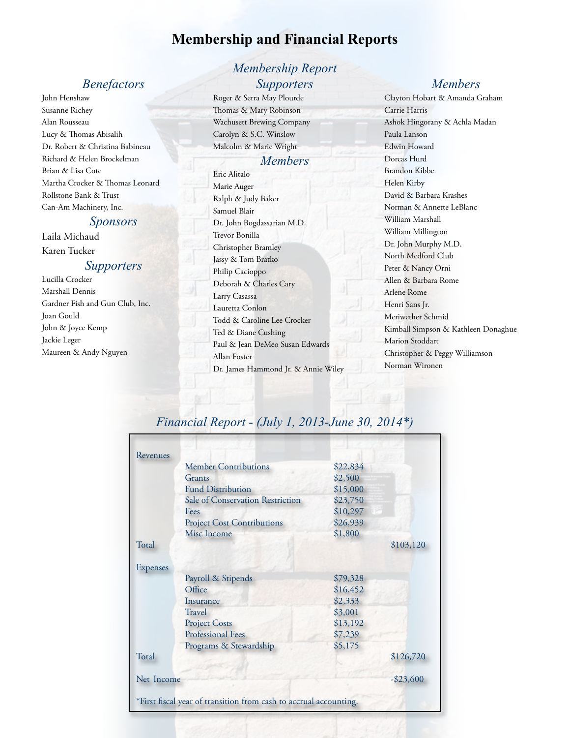## **Membership and Financial Reports**

## *Benefactors*

John Henshaw Susanne Richey Alan Rousseau Lucy & Thomas Abisalih Dr. Robert & Christina Babineau Richard & Helen Brockelman Brian & Lisa Cote Martha Crocker & Thomas Leonard Rollstone Bank & Trust Can-Am Machinery, Inc.

#### *Sponsors*

Laila Michaud Karen Tucker

#### *Supporters*

Lucilla Crocker Marshall Dennis Gardner Fish and Gun Club, Inc. Joan Gould John & Joyce Kemp Jackie Leger Maureen & Andy Nguyen

## *Membership Report Supporters*

Roger & Serra May Plourde Thomas & Mary Robinson Wachusett Brewing Company Carolyn & S.C. Winslow Malcolm & Marie Wright

#### *Members*

Eric Alitalo Marie Auger Ralph & Judy Baker Samuel Blair Dr. John Bogdassarian M.D. Trevor Bonilla Christopher Bramley Jassy & Tom Bratko Philip Cacioppo Deborah & Charles Cary Larry Casassa Lauretta Conlon Todd & Caroline Lee Crocker Ted & Diane Cushing Paul & Jean DeMeo Susan Edwards Allan Foster Dr. James Hammond Jr. & Annie Wiley

### *Members*

Clayton Hobart & Amanda Graham Carrie Harris Ashok Hingorany & Achla Madan Paula Lanson Edwin Howard Dorcas Hurd Brandon Kibbe Helen Kirby David & Barbara Krashes Norman & Annette LeBlanc William Marshall William Millington Dr. John Murphy M.D. North Medford Club Peter & Nancy Orni Allen & Barbara Rome Arlene Rome Henri Sans Jr. Meriwether Schmid Kimball Simpson & Kathleen Donaghue Marion Stoddart Christopher & Peggy Williamson Norman Wironen

## *Financial Report - (July 1, 2013-June 30, 2014\*)*

| Revenues        |                                                                   |          |              |
|-----------------|-------------------------------------------------------------------|----------|--------------|
|                 | <b>Member Contributions</b>                                       | \$22,834 |              |
|                 | Grants                                                            | \$2,500  |              |
|                 | <b>Fund Distribution</b>                                          | \$15,000 |              |
|                 | Sale of Conservation Restriction                                  | \$23,750 |              |
|                 | Fees                                                              | \$10,297 |              |
|                 | <b>Project Cost Contributions</b>                                 | \$26,939 |              |
|                 | Misc Income                                                       | \$1,800  |              |
| Total           |                                                                   |          | \$103,120    |
| <b>Expenses</b> |                                                                   |          |              |
|                 | Payroll & Stipends                                                | \$79,328 |              |
|                 | Office                                                            | \$16,452 |              |
|                 | Insurance                                                         | \$2,333  |              |
|                 | <b>Travel</b>                                                     | \$3,001  |              |
|                 | <b>Project Costs</b>                                              | \$13,192 |              |
|                 | <b>Professional Fees</b>                                          | \$7,239  |              |
|                 | Programs & Stewardship                                            | \$5,175  |              |
| Total           |                                                                   |          | \$126,720    |
| Net Income      |                                                                   |          | $-$ \$23,600 |
|                 | *First fiscal year of transition from cash to accrual accounting. |          |              |